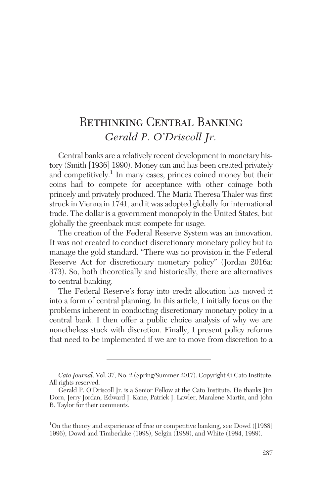# Rethinking Central Banking *Gerald P. O'Driscoll Jr.*

Central banks are a relatively recent development in monetary history (Smith [1936] 1990). Money can and has been created privately and competitively.<sup>1</sup> In many cases, princes coined money but their coins had to compete for acceptance with other coinage both princely and privately produced. The Maria Theresa Thaler was first struck in Vienna in 1741, and it was adopted globally for international trade. The dollar is a government monopoly in the United States, but globally the greenback must compete for usage.

The creation of the Federal Reserve System was an innovation. It was not created to conduct discretionary monetary policy but to manage the gold standard. "There was no provision in the Federal Reserve Act for discretionary monetary policy" (Jordan 2016a: 373). So, both theoretically and historically, there are alternatives to central banking.

The Federal Reserve's foray into credit allocation has moved it into a form of central planning. In this article, I initially focus on the problems inherent in conducting discretionary monetary policy in a central bank. I then offer a public choice analysis of why we are nonetheless stuck with discretion. Finally, I present policy reforms that need to be implemented if we are to move from discretion to a

*Cato Journal*, Vol. 37, No. 2 (Spring/Summer 2017). Copyright © Cato Institute. All rights reserved.

Gerald P. O'Driscoll Jr. is a Senior Fellow at the Cato Institute. He thanks Jim Dorn, Jerry Jordan, Edward J. Kane, Patrick J. Lawler, Maralene Martin, and John B. Taylor for their comments.

<sup>&</sup>lt;sup>1</sup>On the theory and experience of free or competitive banking, see Dowd ([1988] 1996), Dowd and Timberlake (1998), Selgin (1988), and White (1984, 1989).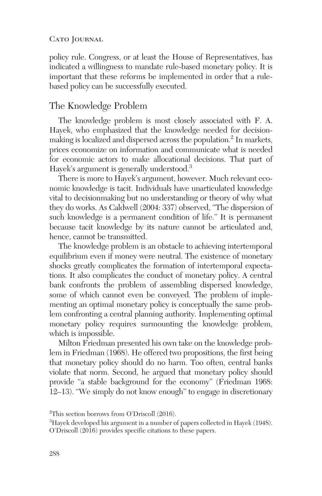policy rule. Congress, or at least the House of Representatives, has indicated a willingness to mandate rule-based monetary policy. It is important that these reforms be implemented in order that a rulebased policy can be successfully executed.

## The Knowledge Problem

The knowledge problem is most closely associated with F. A. Hayek, who emphasized that the knowledge needed for decisionmaking is localized and dispersed across the population.<sup>2</sup> In markets, prices economize on information and communicate what is needed for economic actors to make allocational decisions. That part of Hayek's argument is generally understood.<sup>3</sup>

There is more to Hayek's argument, however. Much relevant economic knowledge is tacit. Individuals have unarticulated knowledge vital to decisionmaking but no understanding or theory of why what they do works. As Caldwell (2004: 337) observed, "The dispersion of such knowledge is a permanent condition of life." It is permanent because tacit knowledge by its nature cannot be articulated and, hence, cannot be transmitted.

The knowledge problem is an obstacle to achieving intertemporal equilibrium even if money were neutral. The existence of monetary shocks greatly complicates the formation of intertemporal expectations. It also complicates the conduct of monetary policy. A central bank confronts the problem of assembling dispersed knowledge, some of which cannot even be conveyed. The problem of implementing an optimal monetary policy is conceptually the same problem confronting a central planning authority. Implementing optimal monetary policy requires surmounting the knowledge problem, which is impossible.

Milton Friedman presented his own take on the knowledge problem in Friedman (1968). He offered two propositions, the first being that monetary policy should do no harm. Too often, central banks violate that norm. Second, he argued that monetary policy should provide "a stable background for the economy" (Friedman 1968: 12–13). "We simply do not know enough" to engage in discretionary

<sup>&</sup>lt;sup>2</sup>This section borrows from O'Driscoll (2016).

 $3$ Hayek developed his argument in a number of papers collected in Hayek (1948). O'Driscoll (2016) provides specific citations to these papers.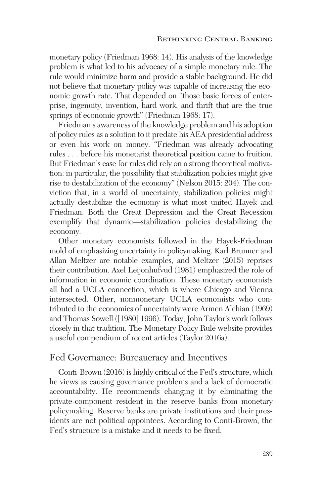monetary policy (Friedman 1968: 14). His analysis of the knowledge problem is what led to his advocacy of a simple monetary rule. The rule would minimize harm and provide a stable background. He did not believe that monetary policy was capable of increasing the economic growth rate. That depended on "those basic forces of enterprise, ingenuity, invention, hard work, and thrift that are the true springs of economic growth" (Friedman 1968: 17).

Friedman's awareness of the knowledge problem and his adoption of policy rules as a solution to it predate his AEA presidential address or even his work on money. "Friedman was already advocating rules . . . before his monetarist theoretical position came to fruition. But Friedman's case for rules did rely on a strong theoretical motivation: in particular, the possibility that stabilization policies might give rise to destabilization of the economy" (Nelson 2015: 204). The conviction that, in a world of uncertainty, stabilization policies might actually destabilize the economy is what most united Hayek and Friedman. Both the Great Depression and the Great Recession exemplify that dynamic—stabilization policies destabilizing the economy.

Other monetary economists followed in the Hayek-Friedman mold of emphasizing uncertainty in policymaking. Karl Brunner and Allan Meltzer are notable examples, and Meltzer (2015) reprises their contribution. Axel Leijonhufvud (1981) emphasized the role of information in economic coordination. These monetary economists all had a UCLA connection, which is where Chicago and Vienna intersected. Other, nonmonetary UCLA economists who contributed to the economics of uncertainty were Armen Alchian (1969) and Thomas Sowell ([1980] 1996). Today, John Taylor's work follows closely in that tradition. The Monetary Policy Rule website provides a useful compendium of recent articles (Taylor 2016a).

## Fed Governance: Bureaucracy and Incentives

Conti-Brown (2016) is highly critical of the Fed's structure, which he views as causing governance problems and a lack of democratic accountability. He recommends changing it by eliminating the private-component resident in the reserve banks from monetary policymaking. Reserve banks are private institutions and their presidents are not political appointees. According to Conti-Brown, the Fed's structure is a mistake and it needs to be fixed.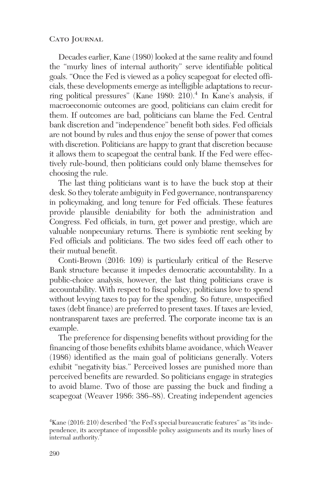Decades earlier, Kane (1980) looked at the same reality and found the "murky lines of internal authority" serve identifiable political goals. "Once the Fed is viewed as a policy scapegoat for elected officials, these developments emerge as intelligible adaptations to recurring political pressures" (Kane 1980: 210).4 In Kane's analysis, if macroeconomic outcomes are good, politicians can claim credit for them. If outcomes are bad, politicians can blame the Fed. Central bank discretion and "independence" benefit both sides. Fed officials are not bound by rules and thus enjoy the sense of power that comes with discretion. Politicians are happy to grant that discretion because it allows them to scapegoat the central bank. If the Fed were effectively rule-bound, then politicians could only blame themselves for choosing the rule.

The last thing politicians want is to have the buck stop at their desk. So they tolerate ambiguity in Fed governance, nontransparency in policymaking, and long tenure for Fed officials. These features provide plausible deniability for both the administration and Congress. Fed officials, in turn, get power and prestige, which are valuable nonpecuniary returns. There is symbiotic rent seeking by Fed officials and politicians. The two sides feed off each other to their mutual benefit.

Conti-Brown (2016: 109) is particularly critical of the Reserve Bank structure because it impedes democratic accountability. In a public-choice analysis, however, the last thing politicians crave is accountability. With respect to fiscal policy, politicians love to spend without levying taxes to pay for the spending. So future, unspecified taxes (debt finance) are preferred to present taxes. If taxes are levied, nontransparent taxes are preferred. The corporate income tax is an example.

The preference for dispensing benefits without providing for the financing of those benefits exhibits blame avoidance, which Weaver (1986) identified as the main goal of politicians generally. Voters exhibit "negativity bias." Perceived losses are punished more than perceived benefits are rewarded. So politicians engage in strategies to avoid blame. Two of those are passing the buck and finding a scapegoat (Weaver 1986: 386–88). Creating independent agencies

 $4$ Kane (2016: 210) described "the Fed's special bureaucratic features" as "its independence, its acceptance of impossible policy assignments and its murky lines of internal authority."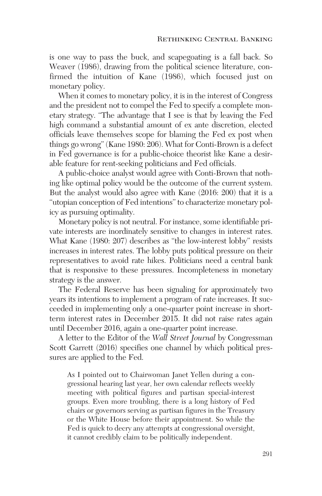is one way to pass the buck, and scapegoating is a fall back. So Weaver (1986), drawing from the political science literature, confirmed the intuition of Kane (1986), which focused just on monetary policy.

When it comes to monetary policy, it is in the interest of Congress and the president not to compel the Fed to specify a complete monetary strategy. "The advantage that I see is that by leaving the Fed high command a substantial amount of ex ante discretion, elected officials leave themselves scope for blaming the Fed ex post when things go wrong" (Kane 1980: 206). What for Conti-Brown is a defect in Fed governance is for a public-choice theorist like Kane a desirable feature for rent-seeking politicians and Fed officials.

A public-choice analyst would agree with Conti-Brown that nothing like optimal policy would be the outcome of the current system. But the analyst would also agree with Kane (2016: 200) that it is a "utopian conception of Fed intentions" to characterize monetary policy as pursuing optimality.

Monetary policy is not neutral. For instance, some identifiable private interests are inordinately sensitive to changes in interest rates. What Kane (1980: 207) describes as "the low-interest lobby" resists increases in interest rates. The lobby puts political pressure on their representatives to avoid rate hikes. Politicians need a central bank that is responsive to these pressures. Incompleteness in monetary strategy is the answer.

The Federal Reserve has been signaling for approximately two years its intentions to implement a program of rate increases. It succeeded in implementing only a one-quarter point increase in shortterm interest rates in December 2015. It did not raise rates again until December 2016, again a one-quarter point increase.

A letter to the Editor of the *Wall Street Journal* by Congressman Scott Garrett (2016) specifies one channel by which political pressures are applied to the Fed.

As I pointed out to Chairwoman Janet Yellen during a congressional hearing last year, her own calendar reflects weekly meeting with political figures and partisan special-interest groups. Even more troubling, there is a long history of Fed chairs or governors serving as partisan figures in the Treasury or the White House before their appointment. So while the Fed is quick to decry any attempts at congressional oversight, it cannot credibly claim to be politically independent.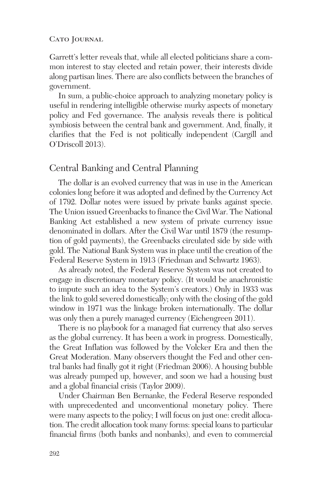Garrett's letter reveals that, while all elected politicians share a common interest to stay elected and retain power, their interests divide along partisan lines. There are also conflicts between the branches of government.

In sum, a public-choice approach to analyzing monetary policy is useful in rendering intelligible otherwise murky aspects of monetary policy and Fed governance. The analysis reveals there is political symbiosis between the central bank and government. And, finally, it clarifies that the Fed is not politically independent (Cargill and O'Driscoll 2013).

## Central Banking and Central Planning

The dollar is an evolved currency that was in use in the American colonies long before it was adopted and defined by the Currency Act of 1792. Dollar notes were issued by private banks against specie. The Union issued Greenbacks to finance the Civil War. The National Banking Act established a new system of private currency issue denominated in dollars. After the Civil War until 1879 (the resumption of gold payments), the Greenbacks circulated side by side with gold. The National Bank System was in place until the creation of the Federal Reserve System in 1913 (Friedman and Schwartz 1963).

As already noted, the Federal Reserve System was not created to engage in discretionary monetary policy. (It would be anachronistic to impute such an idea to the System's creators.) Only in 1933 was the link to gold severed domestically; only with the closing of the gold window in 1971 was the linkage broken internationally. The dollar was only then a purely managed currency (Eichengreen 2011).

There is no playbook for a managed fiat currency that also serves as the global currency. It has been a work in progress. Domestically, the Great Inflation was followed by the Volcker Era and then the Great Moderation. Many observers thought the Fed and other central banks had finally got it right (Friedman 2006). A housing bubble was already pumped up, however, and soon we had a housing bust and a global financial crisis (Taylor 2009).

Under Chairman Ben Bernanke, the Federal Reserve responded with unprecedented and unconventional monetary policy. There were many aspects to the policy; I will focus on just one: credit allocation. The credit allocation took many forms: special loans to particular financial firms (both banks and nonbanks), and even to commercial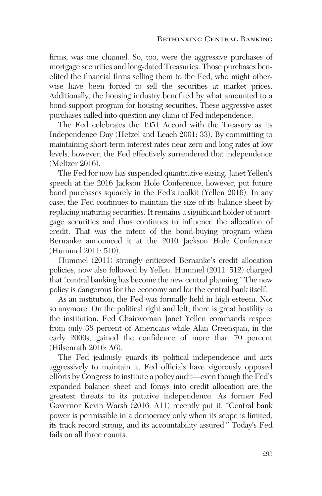firms, was one channel. So, too, were the aggressive purchases of mortgage securities and long-dated Treasuries. Those purchases benefited the financial firms selling them to the Fed, who might otherwise have been forced to sell the securities at market prices. Additionally, the housing industry benefited by what amounted to a bond-support program for housing securities. These aggressive asset purchases called into question any claim of Fed independence.

The Fed celebrates the 1951 Accord with the Treasury as its Independence Day (Hetzel and Leach 2001: 33). By committing to maintaining short-term interest rates near zero and long rates at low levels, however, the Fed effectively surrendered that independence (Meltzer 2016).

The Fed for now has suspended quantitative easing. Janet Yellen's speech at the 2016 Jackson Hole Conference, however, put future bond purchases squarely in the Fed's toolkit (Yellen 2016). In any case, the Fed continues to maintain the size of its balance sheet by replacing maturing securities. It remains a significant holder of mortgage securities and thus continues to influence the allocation of credit. That was the intent of the bond-buying program when Bernanke announced it at the 2010 Jackson Hole Conference (Hummel 2011: 510).

Hummel (2011) strongly criticized Bernanke's credit allocation policies, now also followed by Yellen. Hummel (2011: 512) charged that "central banking has become the new central planning." The new policy is dangerous for the economy and for the central bank itself.

As an institution, the Fed was formally held in high esteem. Not so anymore. On the political right and left, there is great hostility to the institution. Fed Chairwoman Janet Yellen commands respect from only 38 percent of Americans while Alan Greenspan, in the early 2000s, gained the confidence of more than 70 percent (Hilsenrath 2016: A6).

The Fed jealously guards its political independence and acts aggressively to maintain it. Fed officials have vigorously opposed efforts by Congress to institute a policy audit—even though the Fed's expanded balance sheet and forays into credit allocation are the greatest threats to its putative independence. As former Fed Governor Kevin Warsh (2016: A11) recently put it, "Central bank power is permissible in a democracy only when its scope is limited, its track record strong, and its accountability assured." Today's Fed fails on all three counts.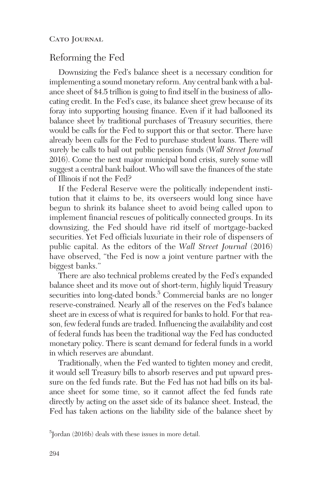## Reforming the Fed

Downsizing the Fed's balance sheet is a necessary condition for implementing a sound monetary reform. Any central bank with a balance sheet of \$4.5 trillion is going to find itself in the business of allocating credit. In the Fed's case, its balance sheet grew because of its foray into supporting housing finance. Even if it had ballooned its balance sheet by traditional purchases of Treasury securities, there would be calls for the Fed to support this or that sector. There have already been calls for the Fed to purchase student loans. There will surely be calls to bail out public pension funds (*Wall Street Journal* 2016). Come the next major municipal bond crisis, surely some will suggest a central bank bailout. Who will save the finances of the state of Illinois if not the Fed?

If the Federal Reserve were the politically independent institution that it claims to be, its overseers would long since have begun to shrink its balance sheet to avoid being called upon to implement financial rescues of politically connected groups. In its downsizing, the Fed should have rid itself of mortgage-backed securities. Yet Fed officials luxuriate in their role of dispensers of public capital. As the editors of the *Wall Street Journal* (2016) have observed, "the Fed is now a joint venture partner with the biggest banks."

There are also technical problems created by the Fed's expanded balance sheet and its move out of short-term, highly liquid Treasury securities into long-dated bonds.<sup>5</sup> Commercial banks are no longer reserve-constrained. Nearly all of the reserves on the Fed's balance sheet are in excess of what is required for banks to hold. For that reason, few federal funds are traded. Influencing the availability and cost of federal funds has been the traditional way the Fed has conducted monetary policy. There is scant demand for federal funds in a world in which reserves are abundant.

Traditionally, when the Fed wanted to tighten money and credit, it would sell Treasury bills to absorb reserves and put upward pressure on the fed funds rate. But the Fed has not had bills on its balance sheet for some time, so it cannot affect the fed funds rate directly by acting on the asset side of its balance sheet. Instead, the Fed has taken actions on the liability side of the balance sheet by

<sup>&</sup>lt;sup>5</sup>Iordan (2016b) deals with these issues in more detail.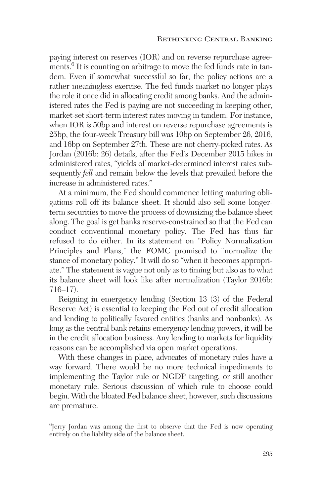paying interest on reserves (IOR) and on reverse repurchase agreements.<sup>6</sup> It is counting on arbitrage to move the fed funds rate in tandem. Even if somewhat successful so far, the policy actions are a rather meaningless exercise. The fed funds market no longer plays the role it once did in allocating credit among banks. And the administered rates the Fed is paying are not succeeding in keeping other, market-set short-term interest rates moving in tandem. For instance, when IOR is 50bp and interest on reverse repurchase agreements is 25bp, the four-week Treasury bill was 10bp on September 26, 2016, and 16bp on September 27th. These are not cherry-picked rates. As Jordan (2016b: 26) details, after the Fed's December 2015 hikes in administered rates, "yields of market-determined interest rates subsequently *fell* and remain below the levels that prevailed before the increase in administered rates."

At a minimum, the Fed should commence letting maturing obligations roll off its balance sheet. It should also sell some longerterm securities to move the process of downsizing the balance sheet along. The goal is get banks reserve-constrained so that the Fed can conduct conventional monetary policy. The Fed has thus far refused to do either. In its statement on "Policy Normalization Principles and Plans," the FOMC promised to "normalize the stance of monetary policy." It will do so "when it becomes appropriate." The statement is vague not only as to timing but also as to what its balance sheet will look like after normalization (Taylor 2016b: 716–17).

Reigning in emergency lending (Section 13 (3) of the Federal Reserve Act) is essential to keeping the Fed out of credit allocation and lending to politically favored entities (banks and nonbanks). As long as the central bank retains emergency lending powers, it will be in the credit allocation business. Any lending to markets for liquidity reasons can be accomplished via open market operations.

With these changes in place, advocates of monetary rules have a way forward. There would be no more technical impediments to implementing the Taylor rule or NGDP targeting, or still another monetary rule. Serious discussion of which rule to choose could begin. With the bloated Fed balance sheet, however, such discussions are premature.

<sup>&</sup>lt;sup>6</sup> Jerry Jordan was among the first to observe that the Fed is now operating entirely on the liability side of the balance sheet.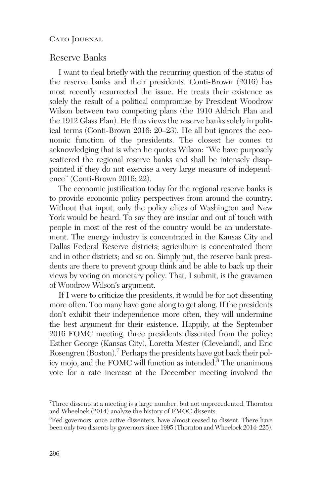### Reserve Banks

I want to deal briefly with the recurring question of the status of the reserve banks and their presidents. Conti-Brown (2016) has most recently resurrected the issue. He treats their existence as solely the result of a political compromise by President Woodrow Wilson between two competing plans (the 1910 Aldrich Plan and the 1912 Glass Plan). He thus views the reserve banks solely in political terms (Conti-Brown 2016: 20–23). He all but ignores the economic function of the presidents. The closest he comes to acknowledging that is when he quotes Wilson: "We have purposely scattered the regional reserve banks and shall be intensely disappointed if they do not exercise a very large measure of independence" (Conti-Brown 2016: 22).

The economic justification today for the regional reserve banks is to provide economic policy perspectives from around the country. Without that input, only the policy elites of Washington and New York would be heard. To say they are insular and out of touch with people in most of the rest of the country would be an understatement. The energy industry is concentrated in the Kansas City and Dallas Federal Reserve districts; agriculture is concentrated there and in other districts; and so on. Simply put, the reserve bank presidents are there to prevent group think and be able to back up their views by voting on monetary policy. That, I submit, is the gravamen of Woodrow Wilson's argument.

If I were to criticize the presidents, it would be for not dissenting more often. Too many have gone along to get along. If the presidents don't exhibit their independence more often, they will undermine the best argument for their existence. Happily, at the September 2016 FOMC meeting, three presidents dissented from the policy: Esther George (Kansas City), Loretta Mester (Cleveland), and Eric Rosengren (Boston).<sup>7</sup> Perhaps the presidents have got back their policy mojo, and the FOMC will function as intended.<sup>8</sup> The unanimous vote for a rate increase at the December meeting involved the

 $\mathrm{^{7}Three}$  dissents at a meeting is a large number, but not unprecedented. Thornton and Wheelock (2014) analyze the history of FMOC dissents.

<sup>&</sup>lt;sup>8</sup> Fed governors, once active dissenters, have almost ceased to dissent. There have been only two dissents by governors since 1995 (Thornton and Wheelock 2014: 225).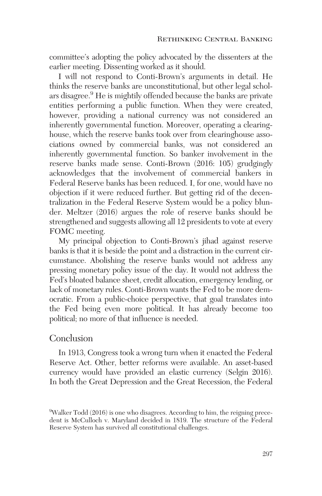committee's adopting the policy advocated by the dissenters at the earlier meeting. Dissenting worked as it should.

I will not respond to Conti-Brown's arguments in detail. He thinks the reserve banks are unconstitutional, but other legal scholars disagree.9 He is mightily offended because the banks are private entities performing a public function. When they were created, however, providing a national currency was not considered an inherently governmental function. Moreover, operating a clearinghouse, which the reserve banks took over from clearinghouse associations owned by commercial banks, was not considered an inherently governmental function. So banker involvement in the reserve banks made sense. Conti-Brown (2016: 105) grudgingly acknowledges that the involvement of commercial bankers in Federal Reserve banks has been reduced. I, for one, would have no objection if it were reduced further. But getting rid of the decentralization in the Federal Reserve System would be a policy blunder. Meltzer (2016) argues the role of reserve banks should be strengthened and suggests allowing all 12 presidents to vote at every FOMC meeting.

My principal objection to Conti-Brown's jihad against reserve banks is that it is beside the point and a distraction in the current circumstance. Abolishing the reserve banks would not address any pressing monetary policy issue of the day. It would not address the Fed's bloated balance sheet, credit allocation, emergency lending, or lack of monetary rules. Conti-Brown wants the Fed to be more democratic. From a public-choice perspective, that goal translates into the Fed being even more political. It has already become too political; no more of that influence is needed.

## Conclusion

In 1913, Congress took a wrong turn when it enacted the Federal Reserve Act. Other, better reforms were available. An asset-based currency would have provided an elastic currency (Selgin 2016). In both the Great Depression and the Great Recession, the Federal

<sup>&</sup>lt;sup>9</sup>Walker Todd (2016) is one who disagrees. According to him, the reigning precedent is McCulloch v. Maryland decided in 1819. The structure of the Federal Reserve System has survived all constitutional challenges.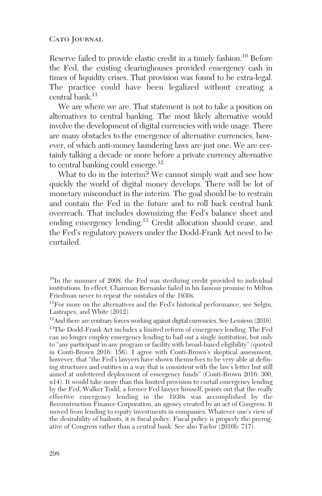Reserve failed to provide elastic credit in a timely fashion.<sup>10</sup> Before the Fed, the existing clearinghouses provided emergency cash in times of liquidity crises. That provision was found to be extra-legal. The practice could have been legalized without creating a central bank.<sup>11</sup>

We are where we are. That statement is not to take a position on alternatives to central banking. The most likely alternative would involve the development of digital currencies with wide usage. There are many obstacles to the emergence of alternative currencies, however, of which anti-money laundering laws are just one. We are certainly talking a decade or more before a private currency alternative to central banking could emerge.<sup>12</sup>

What to do in the interim? We cannot simply wait and see how quickly the world of digital money develops. There will be lot of monetary misconduct in the interim. The goal should be to restrain and contain the Fed in the future and to roll back central bank overreach. That includes downsizing the Fed's balance sheet and ending emergency lending.13 Credit allocation should cease, and the Fed's regulatory powers under the Dodd-Frank Act need to be curtailed.

12And there are contrary forces working against digital currencies. See Lemieux (2016). 13The Dodd-Frank Act includes a limited reform of emergency lending. The Fed can no longer employ emergency lending to bail out a single institution, but only to "any participant in any program or facility with broad-based eligibility" (quoted in Conti-Brown 2016: 156). I agree with Conti-Brown's skeptical assessment, however, that "the Fed's lawyers have shown themselves to be very able at defining structures and entities in a way that is consistent with the law's letter but still aimed at unfettered deployment of emergency funds" (Conti-Brown 2016: 300, n14). It would take more than this limited provision to curtail emergency lending by the Fed. Walker Todd, a former Fed lawyer himself, points out that the really effective emergency lending in the 1930s was accomplished by the Reconstruction Finance Corporation, an agency created by an act of Congress. It moved from lending to equity investments in companies. Whatever one's view of the desirability of bailouts, it is fiscal policy. Fiscal policy is properly the prerogative of Congress rather than a central bank. See also Taylor (2016b: 717).

<sup>&</sup>lt;sup>10</sup>In the summer of 2008, the Fed was sterilizing credit provided to individual institutions. In effect, Chairman Bernanke failed in his famous promise to Milton Friedman never to repeat the mistakes of the 1930s.

 $11$ For more on the alternatives and the Fed's historical performance, see Selgin, Lastrapes, and White (2012).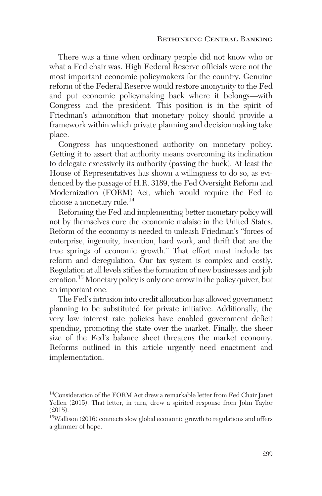There was a time when ordinary people did not know who or what a Fed chair was. High Federal Reserve officials were not the most important economic policymakers for the country. Genuine reform of the Federal Reserve would restore anonymity to the Fed and put economic policymaking back where it belongs—with Congress and the president. This position is in the spirit of Friedman's admonition that monetary policy should provide a framework within which private planning and decisionmaking take place.

Congress has unquestioned authority on monetary policy. Getting it to assert that authority means overcoming its inclination to delegate excessively its authority (passing the buck). At least the House of Representatives has shown a willingness to do so, as evidenced by the passage of H.R. 3189, the Fed Oversight Reform and Modernization (FORM) Act, which would require the Fed to choose a monetary rule.<sup>14</sup>

Reforming the Fed and implementing better monetary policy will not by themselves cure the economic malaise in the United States. Reform of the economy is needed to unleash Friedman's "forces of enterprise, ingenuity, invention, hard work, and thrift that are the true springs of economic growth." That effort must include tax reform and deregulation. Our tax system is complex and costly. Regulation at all levels stifles the formation of new businesses and job creation.15 Monetary policy is only one arrow in the policy quiver, but an important one.

The Fed's intrusion into credit allocation has allowed government planning to be substituted for private initiative. Additionally, the very low interest rate policies have enabled government deficit spending, promoting the state over the market. Finally, the sheer size of the Fed's balance sheet threatens the market economy. Reforms outlined in this article urgently need enactment and implementation.

<sup>&</sup>lt;sup>14</sup>Consideration of the FORM Act drew a remarkable letter from Fed Chair Janet Yellen (2015). That letter, in turn, drew a spirited response from John Taylor (2015).

<sup>15</sup>Wallison (2016) connects slow global economic growth to regulations and offers a glimmer of hope.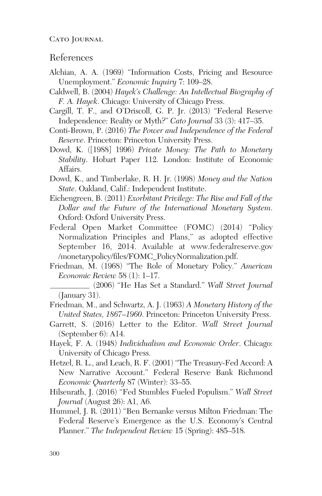## References

- Alchian, A. A. (1969) "Information Costs, Pricing and Resource Unemployment." *Economic Inquiry* 7: 109–28.
- Caldwell, B. (2004) *Hayek's Challenge: An Intellectual Biography of F. A. Hayek*. Chicago: University of Chicago Press.
- Cargill, T. F., and O'Driscoll, G. P. Jr. (2013) "Federal Reserve Independence: Reality or Myth?" *Cato Journal* 33 (3): 417–35.
- Conti-Brown, P. (2016) *The Power and Independence of the Federal Reserve*. Princeton: Princeton University Press.
- Dowd, K. ([1988] 1996) *Private Money: The Path to Monetary Stability*. Hobart Paper 112. London: Institute of Economic Affairs.
- Dowd, K., and Timberlake, R. H. Jr. (1998) *Money and the Nation State*. Oakland, Calif.: Independent Institute.
- Eichengreen, B. (2011) *Exorbitant Privilege: The Rise and Fall of the Dollar and the Future of the International Monetary System*. Oxford: Oxford University Press.
- Federal Open Market Committee (FOMC) (2014) "Policy Normalization Principles and Plans," as adopted effective September 16, 2014. Available at www.federalreserve.gov /monetarypolicy/files/FOMC\_PolicyNormalization.pdf.
- Friedman, M. (1968) "The Role of Monetary Policy." *American Economic Review* 58 (1): 1–17.

(2006) "He Has Set a Standard." *Wall Street Journal* (January 31).

- Friedman, M., and Schwartz, A. J. (1963) *A Monetary History of the United States, 1867–1960*. Princeton: Princeton University Press.
- Garrett, S. (2016) Letter to the Editor. *Wall Street Journal* (September 6): A14.
- Hayek, F. A. (1948) *Individualism and Economic Order*. Chicago: University of Chicago Press.
- Hetzel, R. L., and Leach, R. F. (2001) "The Treasury-Fed Accord: A New Narrative Account." Federal Reserve Bank Richmond *Economic Quarterly* 87 (Winter): 33–55.
- Hilsenrath, J. (2016) "Fed Stumbles Fueled Populism." *Wall Street Journal* (August 26): A1, A6.
- Hummel, J. R. (2011) "Ben Bernanke versus Milton Friedman: The Federal Reserve's Emergence as the U.S. Economy's Central Planner." *The Independent Review* 15 (Spring): 485–518.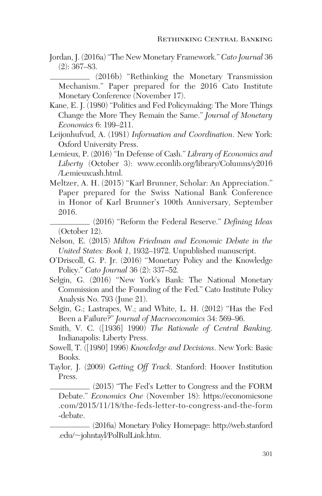Jordan, J. (2016a) "The New Monetary Framework." *Cato Journal* 36 (2): 367–83.

(2016b) "Rethinking the Monetary Transmission Mechanism." Paper prepared for the 2016 Cato Institute Monetary Conference (November 17).

- Kane, E. J. (1980) "Politics and Fed Policymaking: The More Things Change the More They Remain the Same." *Journal of Monetary Economics* 6: 199–211.
- Leijonhufvud, A. (1981) *Information and Coordination*. New York: Oxford University Press.
- Lemieux, P. (2016) "In Defense of Cash." *Library of Economics and Liberty* (October 3): www.econlib.org/library/Columns/y2016 /Lemieuxcash.html.
- Meltzer, A. H. (2015) "Karl Brunner, Scholar: An Appreciation." Paper prepared for the Swiss National Bank Conference in Honor of Karl Brunner's 100th Anniversary, September 2016.
- (2016) "Reform the Federal Reserve." *Defining Ideas* (October 12).
- Nelson, E. (2015) *Milton Friedman and Economic Debate in the United States: Book 1*, 1932–1972. Unpublished manuscript.
- O'Driscoll, G. P. Jr. (2016) "Monetary Policy and the Knowledge Policy." *Cato Journal* 36 (2): 337–52.
- Selgin, G. (2016) "New York's Bank: The National Monetary Commission and the Founding of the Fed." Cato Institute Policy Analysis No. 793 (June 21).
- Selgin, G.; Lastrapes, W.; and White, L. H. (2012) "Has the Fed Been a Failure?" *Journal of Macroeconomics* 34: 569–96.
- Smith, V. C. ([1936] 1990) *The Rationale of Central Banking*. Indianapolis: Liberty Press.
- Sowell, T. ([1980] 1996) *Knowledge and Decisions*. New York: Basic Books.
- Taylor, J. (2009) *Getting Off Track*. Stanford: Hoover Institution Press.

(2015) "The Fed's Letter to Congress and the FORM Debate." *Economics One* (November 18): https://economicsone .com/2015/11/18/the-feds-letter-to-congress-and-the-form -debate.

(2016a) Monetary Policy Homepage: http://web.stanford  $.$ edu $\sim$ johntayl/PolRulLink.htm.